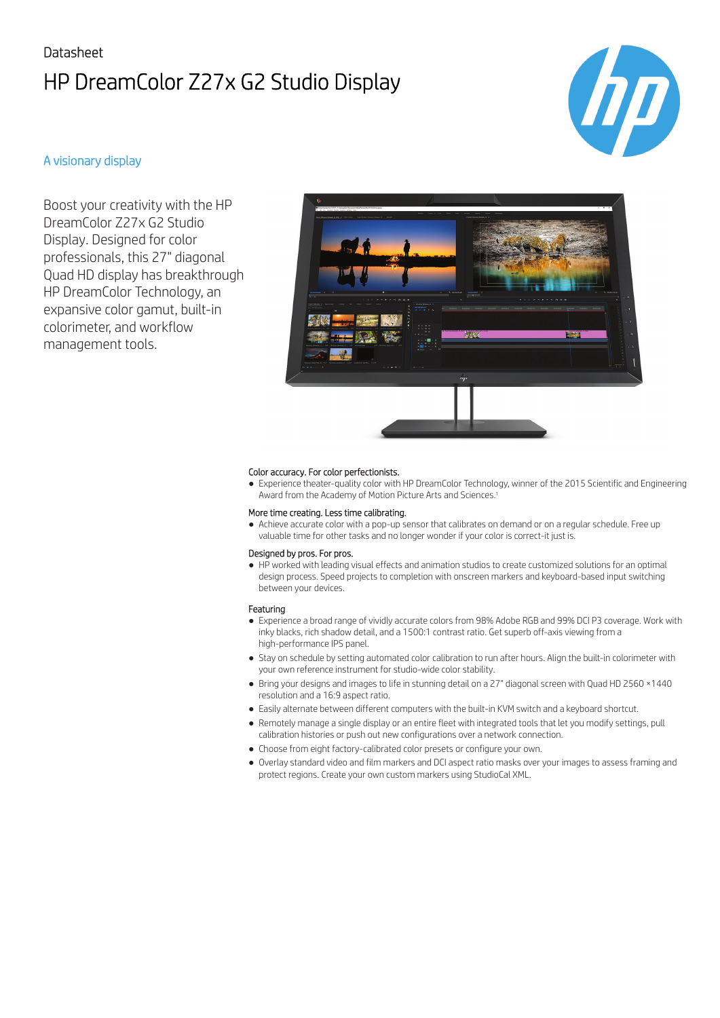# Datasheet HP DreamColor Z27x G2 Studio Display



### A visionary display

Boost your creativity with the HP DreamColor Z27x G2 Studio Display. Designed for color professionals, this 27" diagonal Quad HD display has breakthrough HP DreamColor Technology, an expansive color gamut, built-in colorimeter, and workflow management tools.



### Color accuracy. For color perfectionists.

● Experience theater-quality color with HP DreamColor Technology, winner of the 2015 Scientific and Engineering Award from the Academy of Motion Picture Arts and Sciences.<sup>1</sup>

#### More time creating. Less time calibrating.

● Achieve accurate color with a pop-up sensor that calibrates on demand or on a regular schedule. Free up valuable time for other tasks and no longer wonder if your color is correct-it just is.

#### Designed by pros. For pros.

● HP worked with leading visual effects and animation studios to create customized solutions for an optimal design process. Speed projects to completion with onscreen markers and keyboard-based input switching between your devices.

### Featuring

- Experience a broad range of vividly accurate colors from 98% Adobe RGB and 99% DCI P3 coverage. Work with inky blacks, rich shadow detail, and a 1500:1 contrast ratio. Get superb off-axis viewing from a high-performance IPS panel.
- Stay on schedule by setting automated color calibration to run after hours. Align the built-in colorimeter with your own reference instrument for studio-wide color stability.
- Bring your designs and images to life in stunning detail on a 27" diagonal screen with Quad HD 2560 ×1440 resolution and a 16:9 aspect ratio.
- Easily alternate between different computers with the built-in KVM switch and a keyboard shortcut.
- Remotely manage a single display or an entire fleet with integrated tools that let you modify settings, pull calibration histories or push out new configurations over a network connection.
- Choose from eight factory-calibrated color presets or configure your own.
- Overlay standard video and film markers and DCI aspect ratio masks over your images to assess framing and protect regions. Create your own custom markers using StudioCal XML.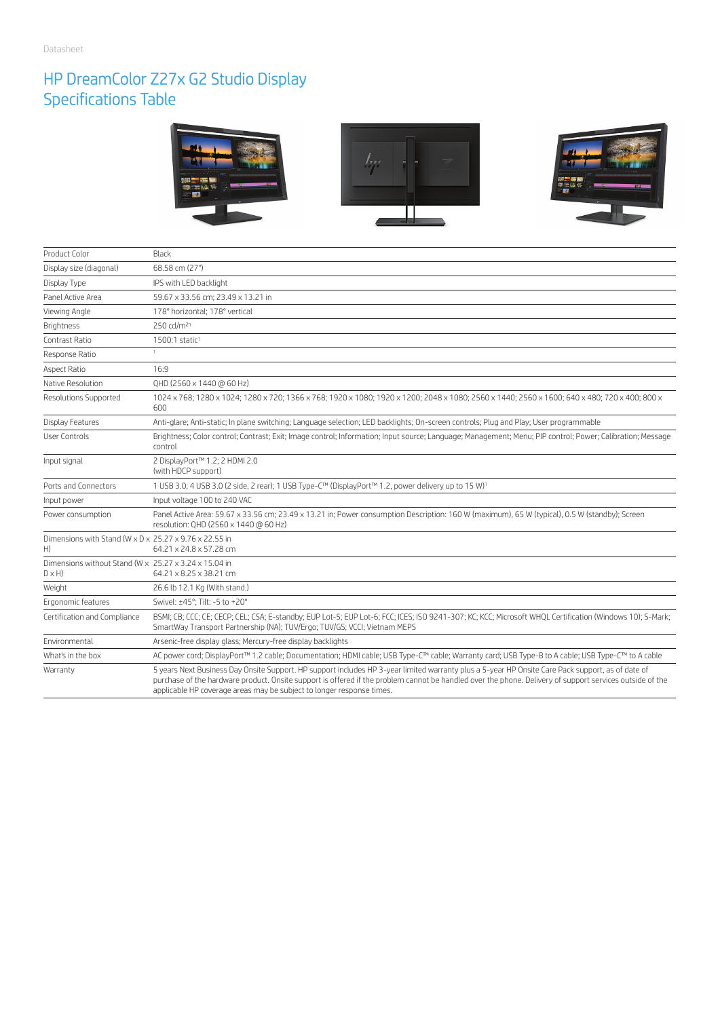### HP DreamColor Z27x G2 Studio Display Specifications Table



| Product Color                                                         | Black                                                                                                                                                                                                                                                                                                                                                                                  |
|-----------------------------------------------------------------------|----------------------------------------------------------------------------------------------------------------------------------------------------------------------------------------------------------------------------------------------------------------------------------------------------------------------------------------------------------------------------------------|
| Display size (diagonal)                                               | 68.58 cm (27")                                                                                                                                                                                                                                                                                                                                                                         |
| Display Type                                                          | IPS with LED backlight                                                                                                                                                                                                                                                                                                                                                                 |
| Panel Active Area                                                     | 59.67 x 33.56 cm: 23.49 x 13.21 in                                                                                                                                                                                                                                                                                                                                                     |
| Viewing Angle                                                         | 178° horizontal: 178° vertical                                                                                                                                                                                                                                                                                                                                                         |
| <b>Brightness</b>                                                     | 250 cd/m <sup>21</sup>                                                                                                                                                                                                                                                                                                                                                                 |
| Contrast Ratio                                                        | 1500:1 static <sup>1</sup>                                                                                                                                                                                                                                                                                                                                                             |
| Response Ratio                                                        | $\mathbb{L}$                                                                                                                                                                                                                                                                                                                                                                           |
| Aspect Ratio                                                          | 16:9                                                                                                                                                                                                                                                                                                                                                                                   |
| Native Resolution                                                     | QHD (2560 x 1440 @ 60 Hz)                                                                                                                                                                                                                                                                                                                                                              |
| <b>Resolutions Supported</b>                                          | 1024 x 768; 1280 x 1024; 1280 x 720; 1366 x 768; 1920 x 1080; 1920 x 1200; 2048 x 1080; 2560 x 1440; 2560 x 1600; 640 x 480; 720 x 400; 800 x<br>600                                                                                                                                                                                                                                   |
| Display Features                                                      | Anti-glare; Anti-static; In plane switching; Language selection; LED backlights; On-screen controls; Plug and Play; User programmable                                                                                                                                                                                                                                                  |
| <b>User Controls</b>                                                  | Brightness; Color control; Contrast; Exit; Image control; Information; Input source; Language; Management; Menu; PIP control; Power; Calibration; Message<br>control                                                                                                                                                                                                                   |
| Input signal                                                          | 2 DisplayPort™ 1.2; 2 HDMI 2.0<br>(with HDCP support)                                                                                                                                                                                                                                                                                                                                  |
| Ports and Connectors                                                  | 1 USB 3.0; 4 USB 3.0 (2 side, 2 rear); 1 USB Type-C™ (DisplayPort™ 1.2, power delivery up to 15 W) <sup>1</sup>                                                                                                                                                                                                                                                                        |
| Input power                                                           | Input voltage 100 to 240 VAC                                                                                                                                                                                                                                                                                                                                                           |
| Power consumption                                                     | Panel Active Area: 59.67 x 33.56 cm; 23.49 x 13.21 in; Power consumption Description: 160 W (maximum), 65 W (typical), 0.5 W (standby); Screen<br>resolution: OHD (2560 x 1440 @ 60 Hz)                                                                                                                                                                                                |
| Dimensions with Stand (W x D x 25.27 x 9.76 x 22.55 in<br>H)          | 64.21 x 24.8 x 57.28 cm                                                                                                                                                                                                                                                                                                                                                                |
| Dimensions without Stand (W x 25.27 x 3.24 x 15.04 in<br>$D \times H$ | 64.21 x 8.25 x 38.21 cm                                                                                                                                                                                                                                                                                                                                                                |
| Weight                                                                | 26.6 lb 12.1 Kg (With stand.)                                                                                                                                                                                                                                                                                                                                                          |
| Ergonomic features                                                    | Swivel: ±45°; Tilt: -5 to +20°                                                                                                                                                                                                                                                                                                                                                         |
| Certification and Compliance                                          | BSMI; CB; CCC; CE; CECP; CEL; CSA; E-standby; EUP Lot-5; EUP Lot-6; FCC; ICES; ISO 9241-307; KC; KCC; Microsoft WHQL Certification (Windows 10); S-Mark;<br>SmartWay Transport Partnership (NA); TUV/Ergo; TUV/GS; VCCI; Vietnam MEPS                                                                                                                                                  |
| Environmental                                                         | Arsenic-free display glass; Mercury-free display backlights                                                                                                                                                                                                                                                                                                                            |
| What's in the box                                                     | AC power cord; DisplayPort™ 1.2 cable; Documentation; HDMI cable; USB Type-C™ cable; Warranty card; USB Type-B to A cable; USB Type-C™ to A cable                                                                                                                                                                                                                                      |
| Warranty                                                              | 5 years Next Business Day Onsite Support. HP support includes HP 3-year limited warranty plus a 5-year HP Onsite Care Pack support, as of date of<br>purchase of the hardware product. Onsite support is offered if the problem cannot be handled over the phone. Delivery of support services outside of the<br>applicable HP coverage areas may be subject to longer response times. |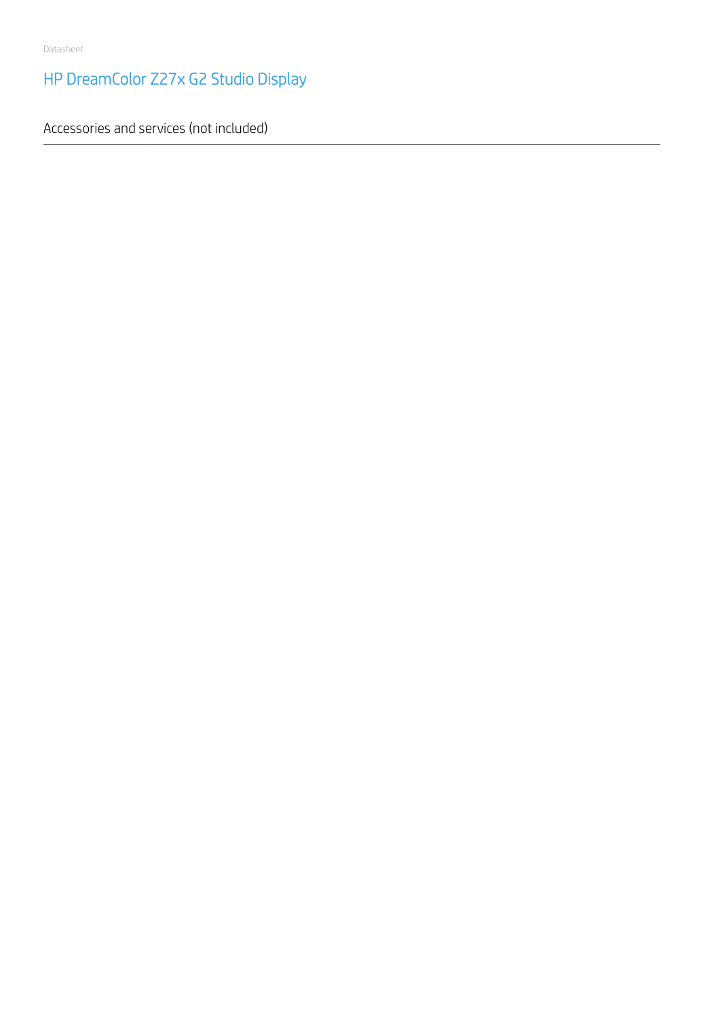# HP DreamColor Z27x G2 Studio Display

Accessories and services (not included)